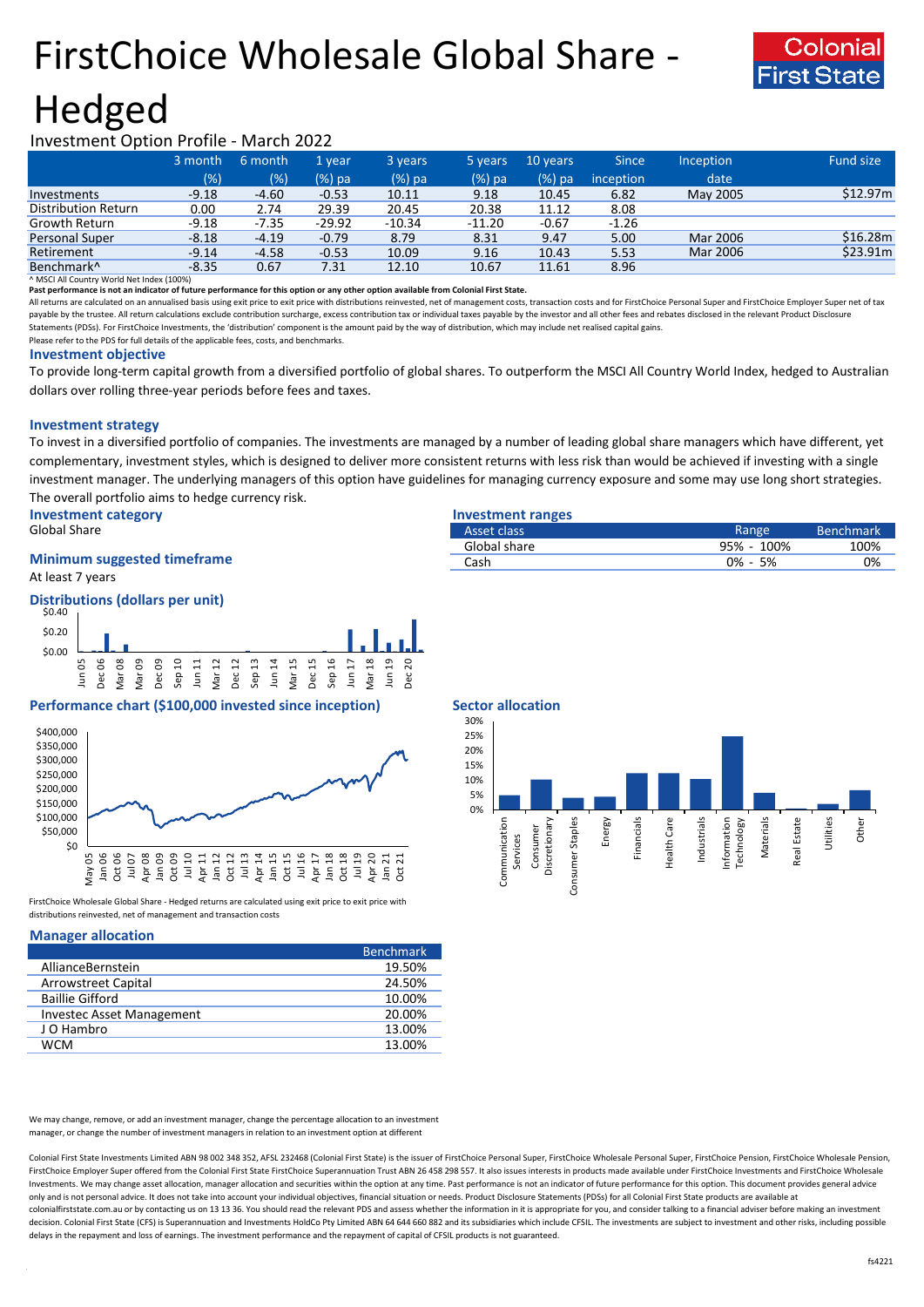# FirstChoice Wholesale Global Share - Hedged



## Investment Option Profile - March 2022

|                        | 3 month | 6 month | '1 year  | 3 years  | 5 years  | 10 years | <b>Since</b>     | Inception | Fund size |
|------------------------|---------|---------|----------|----------|----------|----------|------------------|-----------|-----------|
|                        | (% )    | (%)     | $(%)$ pa | (%) pa   | $(%)$ pa | $(%)$ pa | <i>inception</i> | date      |           |
| Investments            | $-9.18$ | $-4.60$ | $-0.53$  | 10.11    | 9.18     | 10.45    | 6.82             | May 2005  | \$12.97m  |
| Distribution Return    | 0.00    | 2.74    | 29.39    | 20.45    | 20.38    | 11.12    | 8.08             |           |           |
| Growth Return          | $-9.18$ | $-7.35$ | $-29.92$ | $-10.34$ | $-11.20$ | $-0.67$  | $-1.26$          |           |           |
| <b>Personal Super</b>  | $-8.18$ | $-4.19$ | $-0.79$  | 8.79     | 8.31     | 9.47     | 5.00             | Mar 2006  | \$16.28m  |
| Retirement             | $-9.14$ | $-4.58$ | $-0.53$  | 10.09    | 9.16     | 10.43    | 5.53             | Mar 2006  | \$23.91m  |
| Benchmark <sup>^</sup> | $-8.35$ | 0.67    | 7.31     | 12.10    | 10.67    | 11.61    | 8.96             |           |           |

^ MSCI All Country World Net Index (100%)

**Past performance is not an indicator of future performance for this option or any other option available from Colonial First State.**

All returns are calculated on an annualised basis using exit price to exit price with distributions reinvested, net of management costs, transaction costs and for FirstChoice Personal Super and FirstChoice Employer Super n payable by the trustee. All return calculations exclude contribution surcharge, excess contribution tax or individual taxes payable by the investor and all other fees and rebates disclosed in the relevant Product Disclosur Statements (PDSs). For FirstChoice Investments, the 'distribution' component is the amount paid by the way of distribution, which may include net realised capital gains.

Please refer to the PDS for full details of the applicable fees, costs, and benchmarks.

#### **Investment objective**

To provide long-term capital growth from a diversified portfolio of global shares. To outperform the MSCI All Country World Index, hedged to Australian dollars over rolling three-year periods before fees and taxes.

### **Investment strategy**

To invest in a diversified portfolio of companies. The investments are managed by a number of leading global share managers which have different, yet complementary, investment styles, which is designed to deliver more consistent returns with less risk than would be achieved if investing with a single investment manager. The underlying managers of this option have guidelines for managing currency exposure and some may use long short strategies. The overall portfolio aims to hedge currency risk.

**Investment category Investment ranges** Global Share **Range Community Community Community** Community Asset class

# **Minimum suggested timeframe**

At least 7 years

#### **Distributions (dollars per unit)**



## **Performance chart (\$100,000 invested since inception)** Sector allocation



FirstChoice Wholesale Global Share - Hedged returns are calculated using exit price to exit price with distributions reinvested, net of management and transaction costs

#### **Manager allocation**

|                            | <b>Benchmark</b> |
|----------------------------|------------------|
| AllianceBernstein          | 19.50%           |
| <b>Arrowstreet Capital</b> | 24.50%           |
| <b>Baillie Gifford</b>     | 10.00%           |
| Investec Asset Management  | 20.00%           |
| J O Hambro                 | 13.00%           |
| <b>WCM</b>                 | 13.00%           |

We may change, remove, or add an investment manager, change the percentage allocation to an investment manager, or change the number of investment managers in relation to an investment option at different

Colonial First State Investments Limited ABN 98 002 348 352, AFSL 232468 (Colonial First State) is the issuer of FirstChoice Personal Super, FirstChoice Wholesale Personal Super, FirstChoice Personal Super, FirstChoice Who FirstChoice Employer Super offered from the Colonial First State FirstChoice Superannuation Trust ABN 26 458 298 557. It also issues interests in products made available under FirstChoice Investments and FirstChoice Wholes Investments. We may change asset allocation, manager allocation and securities within the option at any time. Past performance is not an indicator of future performance for this option. This document provides general advic only and is not personal advice. It does not take into account your individual objectives, financial situation or needs. Product Disclosure Statements (PDSs) for all Colonial First State products are available at colonialfirststate.com.au or by contacting us on 13 13 36. You should read the relevant PDS and assess whether the information in it is appropriate for you, and consider talking to a financial adviser before making an inve decision. Colonial First State (CFS) is Superannuation and Investments HoldCo Pty Limited ABN 64 644 660 882 and its subsidiaries which include CFSIL. The investments are subject to investment and other risks, including po delays in the repayment and loss of earnings. The investment performance and the repayment of capital of CFSIL products is not guaranteed.



Asset class and the contract of the contract of the contract of the Benchmark<br>
Asset class Benchmark Cloud Contract of the Cloud Cloud Cloud Cloud Cloud Cloud Cloud Cloud Cloud Cloud Cloud<br>
Asset Cloud Cloud Cloud Cloud Cl Global share 100% 100% 100% 100% Cash 0% - 5% 0%